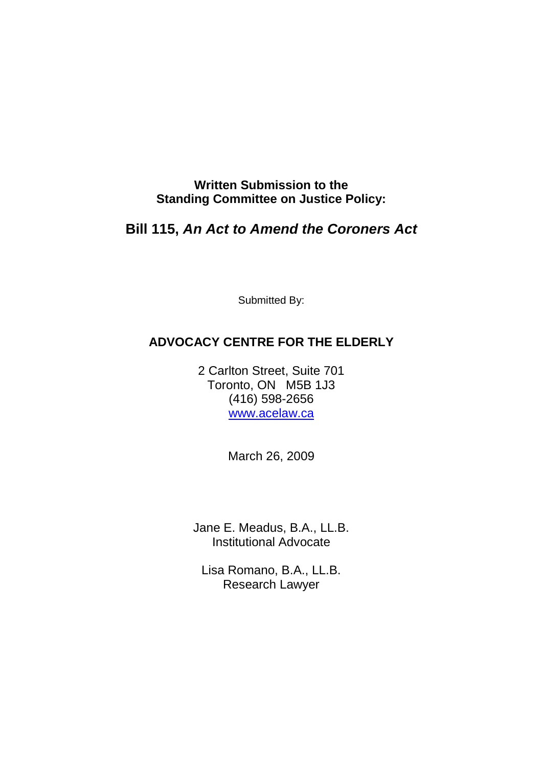**Written Submission to the Standing Committee on Justice Policy:** 

# **Bill 115, An Act to Amend the Coroners Act**

Submitted By:

## **ADVOCACY CENTRE FOR THE ELDERLY**

2 Carlton Street, Suite 701 Toronto, ON M5B 1J3 (416) 598-2656 www.acelaw.ca

March 26, 2009

Jane E. Meadus, B.A., LL.B. Institutional Advocate

Lisa Romano, B.A., LL.B. Research Lawyer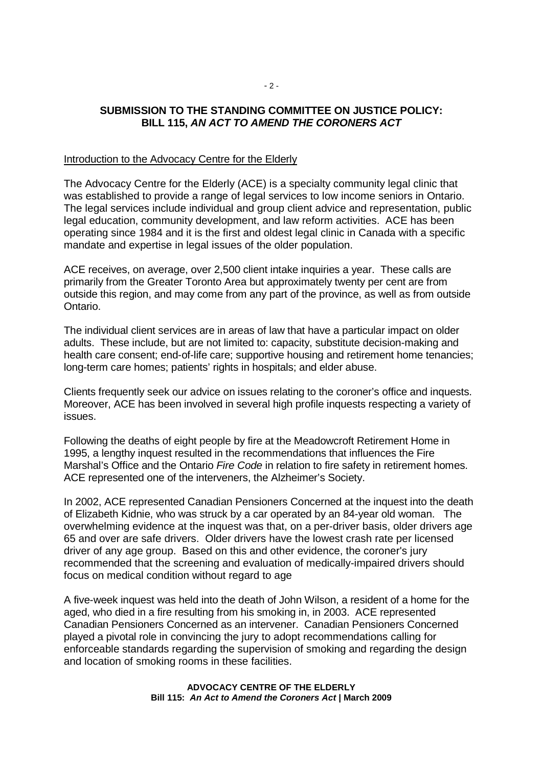## **SUBMISSION TO THE STANDING COMMITTEE ON JUSTICE POLICY: BILL 115, AN ACT TO AMEND THE CORONERS ACT**

#### Introduction to the Advocacy Centre for the Elderly

The Advocacy Centre for the Elderly (ACE) is a specialty community legal clinic that was established to provide a range of legal services to low income seniors in Ontario. The legal services include individual and group client advice and representation, public legal education, community development, and law reform activities. ACE has been operating since 1984 and it is the first and oldest legal clinic in Canada with a specific mandate and expertise in legal issues of the older population.

ACE receives, on average, over 2,500 client intake inquiries a year. These calls are primarily from the Greater Toronto Area but approximately twenty per cent are from outside this region, and may come from any part of the province, as well as from outside Ontario.

The individual client services are in areas of law that have a particular impact on older adults. These include, but are not limited to: capacity, substitute decision-making and health care consent; end-of-life care; supportive housing and retirement home tenancies; long-term care homes; patients' rights in hospitals; and elder abuse.

Clients frequently seek our advice on issues relating to the coroner's office and inquests. Moreover, ACE has been involved in several high profile inquests respecting a variety of issues.

Following the deaths of eight people by fire at the Meadowcroft Retirement Home in 1995, a lengthy inquest resulted in the recommendations that influences the Fire Marshal's Office and the Ontario Fire Code in relation to fire safety in retirement homes. ACE represented one of the interveners, the Alzheimer's Society.

In 2002, ACE represented Canadian Pensioners Concerned at the inquest into the death of Elizabeth Kidnie, who was struck by a car operated by an 84-year old woman. The overwhelming evidence at the inquest was that, on a per-driver basis, older drivers age 65 and over are safe drivers. Older drivers have the lowest crash rate per licensed driver of any age group. Based on this and other evidence, the coroner's jury recommended that the screening and evaluation of medically-impaired drivers should focus on medical condition without regard to age

A five-week inquest was held into the death of John Wilson, a resident of a home for the aged, who died in a fire resulting from his smoking in, in 2003. ACE represented Canadian Pensioners Concerned as an intervener. Canadian Pensioners Concerned played a pivotal role in convincing the jury to adopt recommendations calling for enforceable standards regarding the supervision of smoking and regarding the design and location of smoking rooms in these facilities.

> **ADVOCACY CENTRE OF THE ELDERLY Bill 115: An Act to Amend the Coroners Act | March 2009**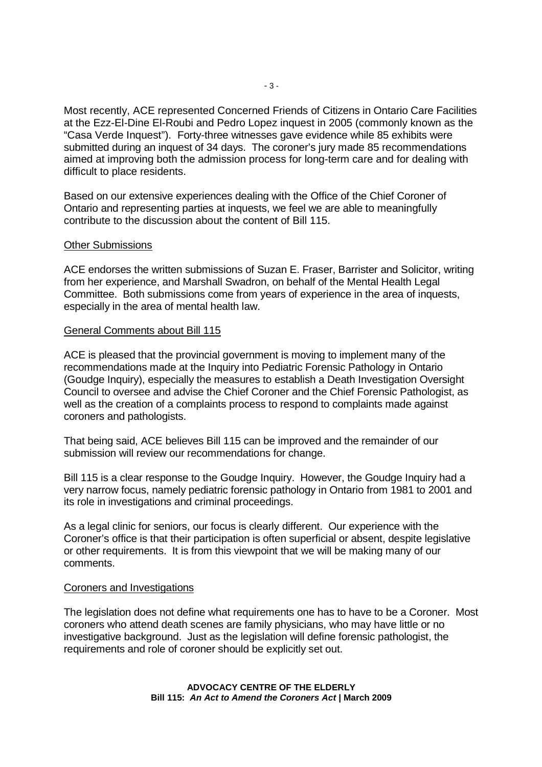Most recently, ACE represented Concerned Friends of Citizens in Ontario Care Facilities at the Ezz-El-Dine El-Roubi and Pedro Lopez inquest in 2005 (commonly known as the "Casa Verde Inquest"). Forty-three witnesses gave evidence while 85 exhibits were submitted during an inquest of 34 days. The coroner's jury made 85 recommendations aimed at improving both the admission process for long-term care and for dealing with difficult to place residents.

Based on our extensive experiences dealing with the Office of the Chief Coroner of Ontario and representing parties at inquests, we feel we are able to meaningfully contribute to the discussion about the content of Bill 115.

#### Other Submissions

ACE endorses the written submissions of Suzan E. Fraser, Barrister and Solicitor, writing from her experience, and Marshall Swadron, on behalf of the Mental Health Legal Committee. Both submissions come from years of experience in the area of inquests, especially in the area of mental health law.

#### General Comments about Bill 115

ACE is pleased that the provincial government is moving to implement many of the recommendations made at the Inquiry into Pediatric Forensic Pathology in Ontario (Goudge Inquiry), especially the measures to establish a Death Investigation Oversight Council to oversee and advise the Chief Coroner and the Chief Forensic Pathologist, as well as the creation of a complaints process to respond to complaints made against coroners and pathologists.

That being said, ACE believes Bill 115 can be improved and the remainder of our submission will review our recommendations for change.

Bill 115 is a clear response to the Goudge Inquiry. However, the Goudge Inquiry had a very narrow focus, namely pediatric forensic pathology in Ontario from 1981 to 2001 and its role in investigations and criminal proceedings.

As a legal clinic for seniors, our focus is clearly different. Our experience with the Coroner's office is that their participation is often superficial or absent, despite legislative or other requirements. It is from this viewpoint that we will be making many of our comments.

#### Coroners and Investigations

The legislation does not define what requirements one has to have to be a Coroner. Most coroners who attend death scenes are family physicians, who may have little or no investigative background. Just as the legislation will define forensic pathologist, the requirements and role of coroner should be explicitly set out.

> **ADVOCACY CENTRE OF THE ELDERLY Bill 115: An Act to Amend the Coroners Act | March 2009**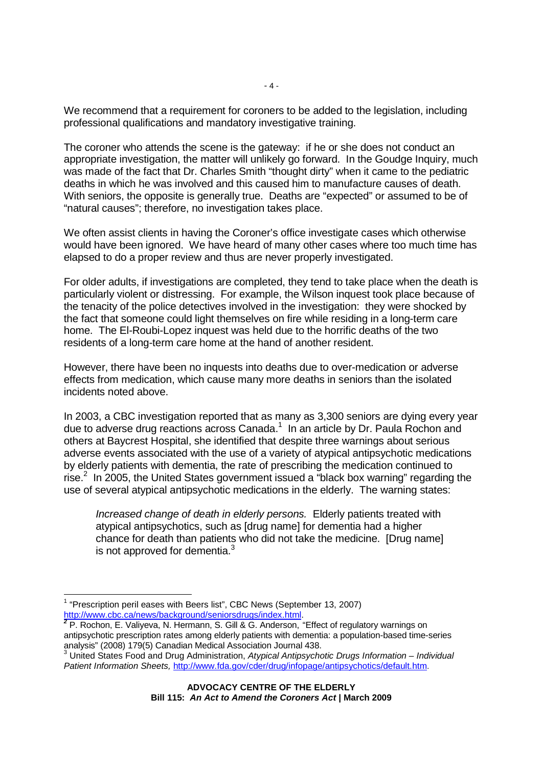We recommend that a requirement for coroners to be added to the legislation, including professional qualifications and mandatory investigative training.

The coroner who attends the scene is the gateway: if he or she does not conduct an appropriate investigation, the matter will unlikely go forward. In the Goudge Inquiry, much was made of the fact that Dr. Charles Smith "thought dirty" when it came to the pediatric deaths in which he was involved and this caused him to manufacture causes of death. With seniors, the opposite is generally true. Deaths are "expected" or assumed to be of "natural causes"; therefore, no investigation takes place.

We often assist clients in having the Coroner's office investigate cases which otherwise would have been ignored. We have heard of many other cases where too much time has elapsed to do a proper review and thus are never properly investigated.

For older adults, if investigations are completed, they tend to take place when the death is particularly violent or distressing. For example, the Wilson inquest took place because of the tenacity of the police detectives involved in the investigation: they were shocked by the fact that someone could light themselves on fire while residing in a long-term care home. The El-Roubi-Lopez inquest was held due to the horrific deaths of the two residents of a long-term care home at the hand of another resident.

However, there have been no inquests into deaths due to over-medication or adverse effects from medication, which cause many more deaths in seniors than the isolated incidents noted above.

In 2003, a CBC investigation reported that as many as 3,300 seniors are dying every year due to adverse drug reactions across Canada.<sup>1</sup> In an article by Dr. Paula Rochon and others at Baycrest Hospital, she identified that despite three warnings about serious adverse events associated with the use of a variety of atypical antipsychotic medications by elderly patients with dementia, the rate of prescribing the medication continued to rise. $2$  In 2005, the United States government issued a "black box warning" regarding the use of several atypical antipsychotic medications in the elderly. The warning states:

Increased change of death in elderly persons.Elderly patients treated with atypical antipsychotics, such as [drug name] for dementia had a higher chance for death than patients who did not take the medicine. [Drug name] is not approved for dementia. $3$ 

-

<sup>&</sup>lt;sup>1</sup> "Prescription peril eases with Beers list", CBC News (September 13, 2007) http://www.cbc.ca/news/background/seniorsdrugs/index.html.

**<sup>2</sup>** P. Rochon, E. Valiyeva, N. Hermann, S. Gill & G. Anderson, "Effect of regulatory warnings on antipsychotic prescription rates among elderly patients with dementia: a population-based time-series analysis" (2008) 179(5) Canadian Medical Association Journal 438.<br><sup>3</sup> United States Food and Drug Administration, *Atypical Antipsychotic Drugs Information – Individual* 

Patient Information Sheets, http://www.fda.gov/cder/drug/infopage/antipsychotics/default.htm.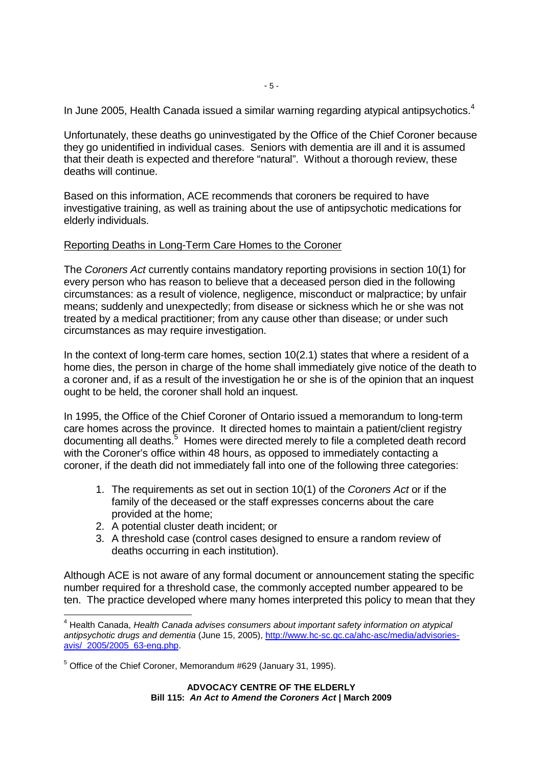In June 2005, Health Canada issued a similar warning regarding atypical antipsychotics.<sup>4</sup>

Unfortunately, these deaths go uninvestigated by the Office of the Chief Coroner because they go unidentified in individual cases. Seniors with dementia are ill and it is assumed that their death is expected and therefore "natural". Without a thorough review, these deaths will continue.

Based on this information, ACE recommends that coroners be required to have investigative training, as well as training about the use of antipsychotic medications for elderly individuals.

## Reporting Deaths in Long-Term Care Homes to the Coroner

The Coroners Act currently contains mandatory reporting provisions in section 10(1) for every person who has reason to believe that a deceased person died in the following circumstances: as a result of violence, negligence, misconduct or malpractice; by unfair means; suddenly and unexpectedly; from disease or sickness which he or she was not treated by a medical practitioner; from any cause other than disease; or under such circumstances as may require investigation.

In the context of long-term care homes, section 10(2.1) states that where a resident of a home dies, the person in charge of the home shall immediately give notice of the death to a coroner and, if as a result of the investigation he or she is of the opinion that an inquest ought to be held, the coroner shall hold an inquest.

In 1995, the Office of the Chief Coroner of Ontario issued a memorandum to long-term care homes across the province. It directed homes to maintain a patient/client registry documenting all deaths.<sup>5</sup> Homes were directed merely to file a completed death record with the Coroner's office within 48 hours, as opposed to immediately contacting a coroner, if the death did not immediately fall into one of the following three categories:

- 1. The requirements as set out in section 10(1) of the Coroners Act or if the family of the deceased or the staff expresses concerns about the care provided at the home;
- 2. A potential cluster death incident; or
- 3. A threshold case (control cases designed to ensure a random review of deaths occurring in each institution).

Although ACE is not aware of any formal document or announcement stating the specific number required for a threshold case, the commonly accepted number appeared to be ten. The practice developed where many homes interpreted this policy to mean that they

 4 Health Canada, Health Canada advises consumers about important safety information on atypical antipsychotic drugs and dementia (June 15, 2005), http://www.hc-sc.gc.ca/ahc-asc/media/advisoriesavis/\_2005/2005\_63-eng.php.

<sup>&</sup>lt;sup>5</sup> Office of the Chief Coroner, Memorandum #629 (January 31, 1995).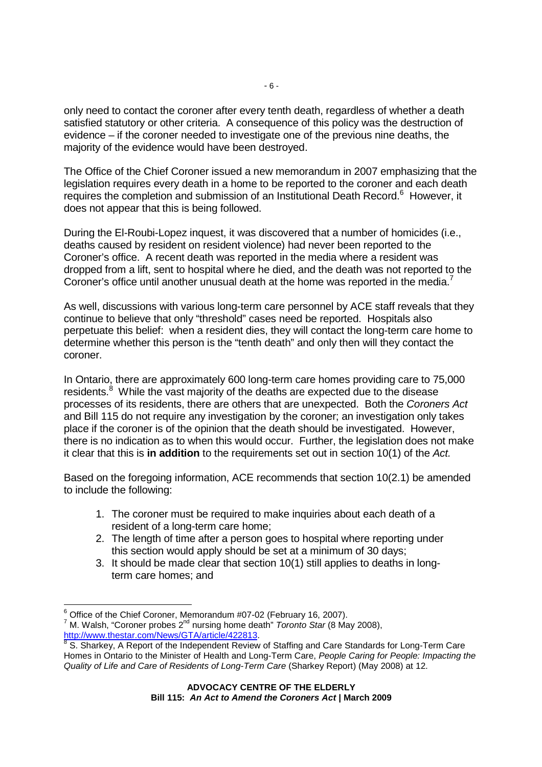only need to contact the coroner after every tenth death, regardless of whether a death satisfied statutory or other criteria. A consequence of this policy was the destruction of evidence – if the coroner needed to investigate one of the previous nine deaths, the majority of the evidence would have been destroyed.

The Office of the Chief Coroner issued a new memorandum in 2007 emphasizing that the legislation requires every death in a home to be reported to the coroner and each death requires the completion and submission of an Institutional Death Record.<sup>6</sup> However, it does not appear that this is being followed.

During the El-Roubi-Lopez inquest, it was discovered that a number of homicides (i.e., deaths caused by resident on resident violence) had never been reported to the Coroner's office. A recent death was reported in the media where a resident was dropped from a lift, sent to hospital where he died, and the death was not reported to the Coroner's office until another unusual death at the home was reported in the media.<sup>7</sup>

As well, discussions with various long-term care personnel by ACE staff reveals that they continue to believe that only "threshold" cases need be reported. Hospitals also perpetuate this belief: when a resident dies, they will contact the long-term care home to determine whether this person is the "tenth death" and only then will they contact the coroner.

In Ontario, there are approximately 600 long-term care homes providing care to 75,000 residents.<sup>8</sup> While the vast majority of the deaths are expected due to the disease processes of its residents, there are others that are unexpected. Both the Coroners Act and Bill 115 do not require any investigation by the coroner; an investigation only takes place if the coroner is of the opinion that the death should be investigated. However, there is no indication as to when this would occur. Further, the legislation does not make it clear that this is **in addition** to the requirements set out in section 10(1) of the Act.

Based on the foregoing information, ACE recommends that section 10(2.1) be amended to include the following:

- 1. The coroner must be required to make inquiries about each death of a resident of a long-term care home;
- 2. The length of time after a person goes to hospital where reporting under this section would apply should be set at a minimum of 30 days;
- 3. It should be made clear that section 10(1) still applies to deaths in longterm care homes; and

<sup>-</sup><sup>6</sup> Office of the Chief Coroner, Memorandum #07-02 (February 16, 2007).

 $^7$  M. Walsh, "Coroner probes 2<sup>nd</sup> nursing home death" *Toronto Star* (8 May 2008), http://www.thestar.com/News/GTA/article/422813.<br><sup>8</sup> S. Sherkey, A Benert of the Independent Beview.

S. Sharkey, A Report of the Independent Review of Staffing and Care Standards for Long-Term Care Homes in Ontario to the Minister of Health and Long-Term Care, People Caring for People: Impacting the Quality of Life and Care of Residents of Long-Term Care (Sharkey Report) (May 2008) at 12.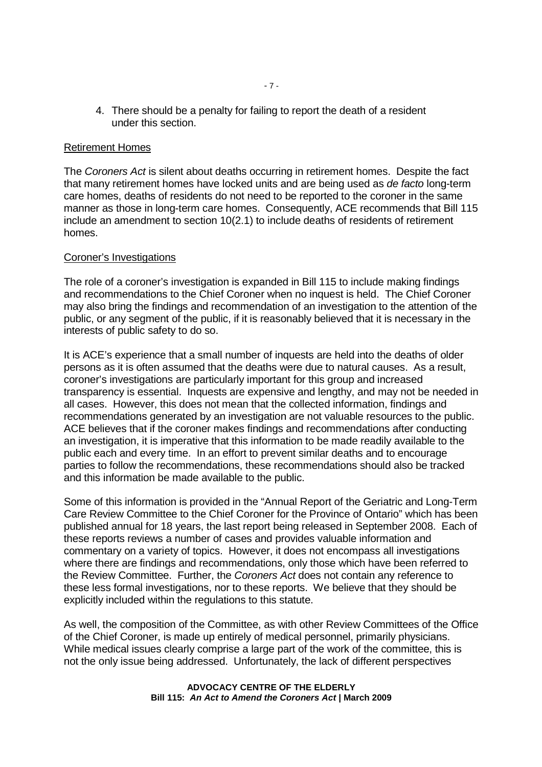4. There should be a penalty for failing to report the death of a resident under this section.

#### Retirement Homes

The Coroners Act is silent about deaths occurring in retirement homes. Despite the fact that many retirement homes have locked units and are being used as de facto long-term care homes, deaths of residents do not need to be reported to the coroner in the same manner as those in long-term care homes. Consequently, ACE recommends that Bill 115 include an amendment to section 10(2.1) to include deaths of residents of retirement homes.

#### Coroner's Investigations

The role of a coroner's investigation is expanded in Bill 115 to include making findings and recommendations to the Chief Coroner when no inquest is held. The Chief Coroner may also bring the findings and recommendation of an investigation to the attention of the public, or any segment of the public, if it is reasonably believed that it is necessary in the interests of public safety to do so.

It is ACE's experience that a small number of inquests are held into the deaths of older persons as it is often assumed that the deaths were due to natural causes. As a result, coroner's investigations are particularly important for this group and increased transparency is essential. Inquests are expensive and lengthy, and may not be needed in all cases. However, this does not mean that the collected information, findings and recommendations generated by an investigation are not valuable resources to the public. ACE believes that if the coroner makes findings and recommendations after conducting an investigation, it is imperative that this information to be made readily available to the public each and every time. In an effort to prevent similar deaths and to encourage parties to follow the recommendations, these recommendations should also be tracked and this information be made available to the public.

Some of this information is provided in the "Annual Report of the Geriatric and Long-Term Care Review Committee to the Chief Coroner for the Province of Ontario" which has been published annual for 18 years, the last report being released in September 2008. Each of these reports reviews a number of cases and provides valuable information and commentary on a variety of topics. However, it does not encompass all investigations where there are findings and recommendations, only those which have been referred to the Review Committee. Further, the Coroners Act does not contain any reference to these less formal investigations, nor to these reports. We believe that they should be explicitly included within the regulations to this statute.

As well, the composition of the Committee, as with other Review Committees of the Office of the Chief Coroner, is made up entirely of medical personnel, primarily physicians. While medical issues clearly comprise a large part of the work of the committee, this is not the only issue being addressed. Unfortunately, the lack of different perspectives